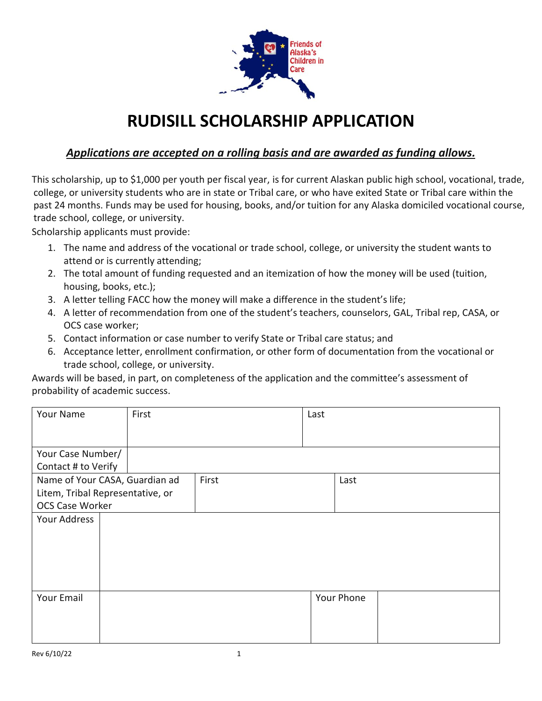

## **RUDISILL SCHOLARSHIP APPLICATION**

## *Applications are accepted on a rolling basis and are awarded as funding allows.*

This scholarship, up to \$1,000 per youth per fiscal year, is for current Alaskan public high school, vocational, trade, college, or university students who are in state or Tribal care, or who have exited State or Tribal care within the past 24 months. Funds may be used for housing, books, and/or tuition for any Alaska domiciled vocational course, trade school, college, or university.

Scholarship applicants must provide:

- 1. The name and address of the vocational or trade school, college, or university the student wants to attend or is currently attending;
- 2. The total amount of funding requested and an itemization of how the money will be used (tuition, housing, books, etc.);
- 3. A letter telling FACC how the money will make a difference in the student's life;
- 4. A letter of recommendation from one of the student's teachers, counselors, GAL, Tribal rep, CASA, or OCS case worker;
- 5. Contact information or case number to verify State or Tribal care status; and
- 6. Acceptance letter, enrollment confirmation, or other form of documentation from the vocational or trade school, college, or university.

Awards will be based, in part, on completeness of the application and the committee's assessment of probability of academic success.

| Your Name                        | First |       | Last |            |
|----------------------------------|-------|-------|------|------------|
|                                  |       |       |      |            |
| Your Case Number/                |       |       |      |            |
| Contact # to Verify              |       |       |      |            |
| Name of Your CASA, Guardian ad   |       | First |      | Last       |
| Litem, Tribal Representative, or |       |       |      |            |
| OCS Case Worker                  |       |       |      |            |
| Your Address                     |       |       |      |            |
|                                  |       |       |      |            |
|                                  |       |       |      |            |
|                                  |       |       |      |            |
|                                  |       |       |      |            |
|                                  |       |       |      |            |
| Your Email                       |       |       |      | Your Phone |
|                                  |       |       |      |            |
|                                  |       |       |      |            |
|                                  |       |       |      |            |